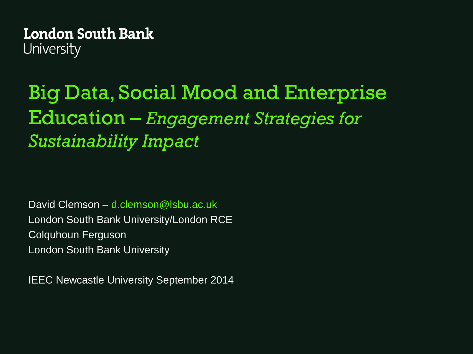## Big Data, Social Mood and Enterprise Education – *Engagement Strategies for Sustainability Impact*

David Clemson – d.clemson@lsbu.ac.uk London South Bank University/London RCE Colquhoun Ferguson London South Bank University

IEEC Newcastle University September 2014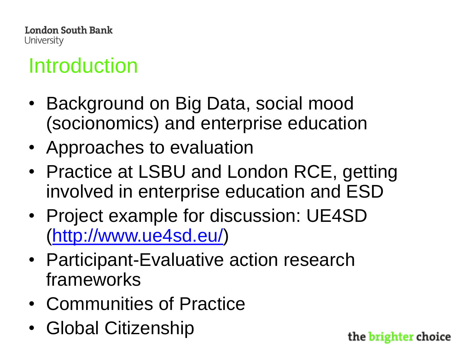## Introduction

- Background on Big Data, social mood (socionomics) and enterprise education
- Approaches to evaluation
- Practice at LSBU and London RCE, getting involved in enterprise education and ESD
- Project example for discussion: UE4SD ([http://www.ue4sd.eu/\)](http://www.ue4sd.eu/)
- Participant-Evaluative action research frameworks
- Communities of Practice
- Global Citizenship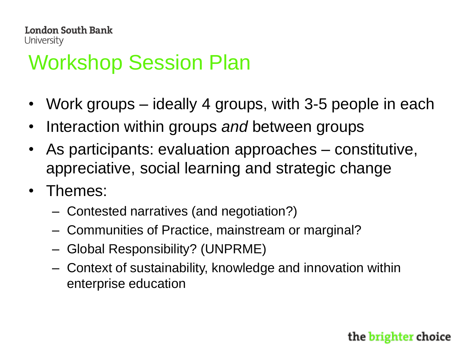## Workshop Session Plan

- Work groups ideally 4 groups, with 3-5 people in each
- Interaction within groups *and* between groups
- As participants: evaluation approaches constitutive, appreciative, social learning and strategic change
- Themes:
	- Contested narratives (and negotiation?)
	- Communities of Practice, mainstream or marginal?
	- Global Responsibility? (UNPRME)
	- Context of sustainability, knowledge and innovation within enterprise education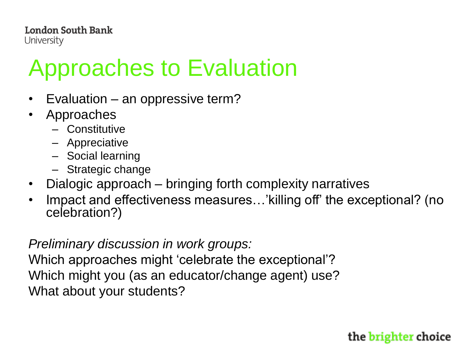# Approaches to Evaluation

- Evaluation an oppressive term?
- Approaches
	- Constitutive
	- Appreciative
	- Social learning
	- Strategic change
- Dialogic approach bringing forth complexity narratives
- Impact and effectiveness measures…'killing off' the exceptional? (no celebration?)

*Preliminary discussion in work groups:* 

Which approaches might 'celebrate the exceptional'? Which might you (as an educator/change agent) use? What about your students?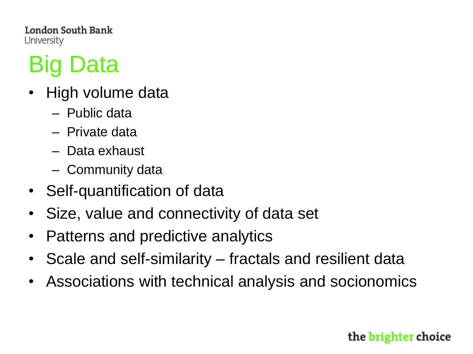# Big Data

- High volume data
	- Public data
	- Private data
	- Data exhaust
	- Community data
- Self-quantification of data
- Size, value and connectivity of data set
- Patterns and predictive analytics
- Scale and self-similarity fractals and resilient data
- Associations with technical analysis and socionomics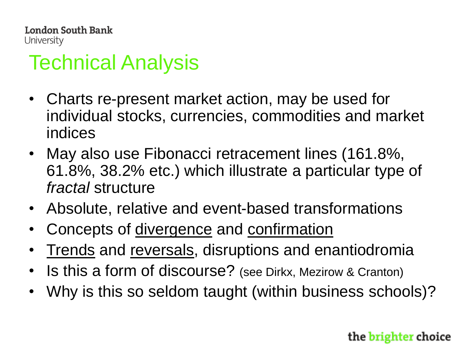## Technical Analysis

- Charts re-present market action, may be used for individual stocks, currencies, commodities and market indices
- May also use Fibonacci retracement lines (161.8%, 61.8%, 38.2% etc.) which illustrate a particular type of *fractal* structure
- Absolute, relative and event-based transformations
- Concepts of divergence and confirmation
- Trends and reversals, disruptions and enantiodromia
- Is this a form of discourse? (see Dirkx, Mezirow & Cranton)
- Why is this so seldom taught (within business schools)?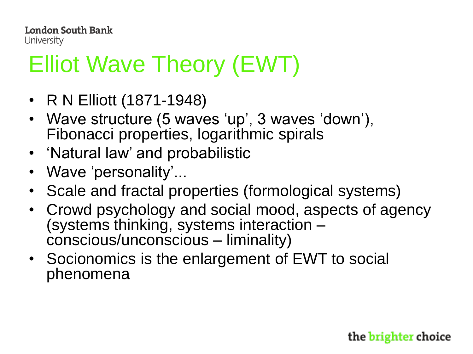# Elliot Wave Theory (EWT)

- R N Elliott (1871-1948)
- Wave structure (5 waves 'up', 3 waves 'down'), Fibonacci properties, logarithmic spirals
- 'Natural law' and probabilistic
- Wave 'personality'...
- Scale and fractal properties (formological systems)
- Crowd psychology and social mood, aspects of agency (systems thinking, systems interaction – conscious/unconscious – liminality)
- Socionomics is the enlargement of EWT to social phenomena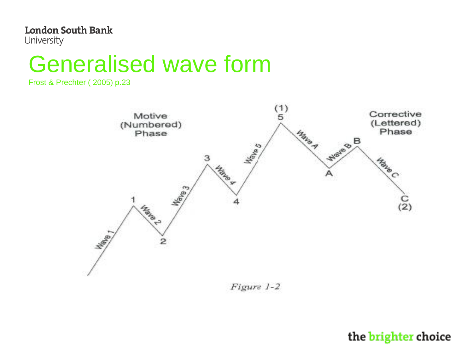## Generalised wave form

Frost & Prechter ( 2005) p.23



Figure 1-2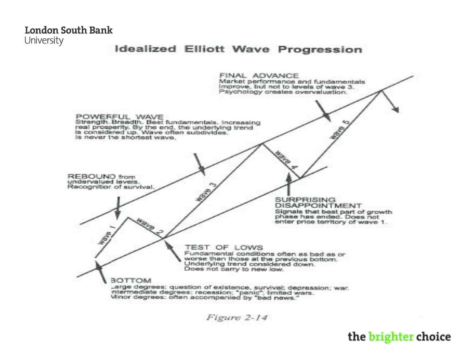London South Bank

University

#### **Idealized Elliott Wave Progression**



Figure 2-14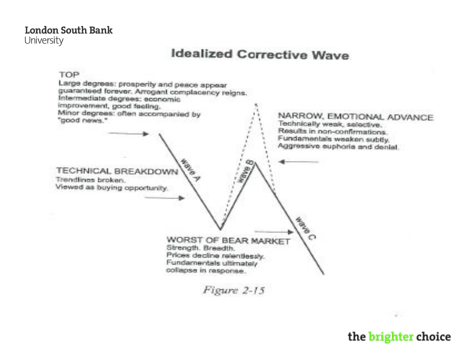### **Idealized Corrective Wave**

#### TOP

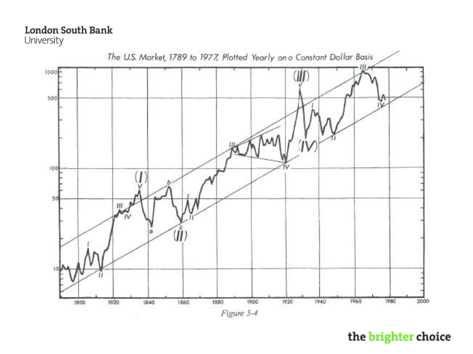### **London South Bank**

University

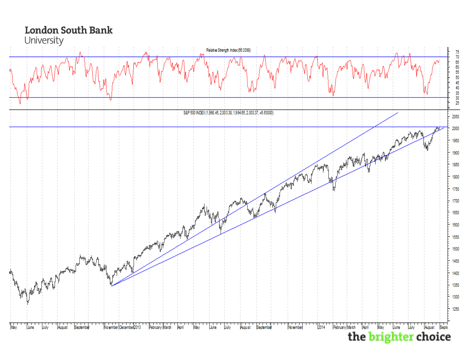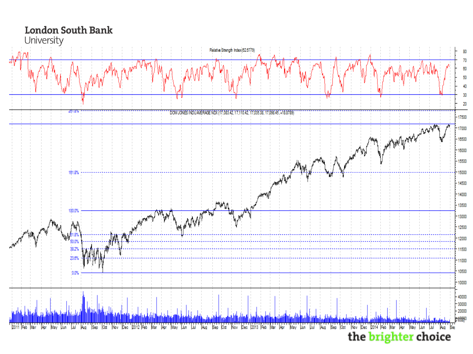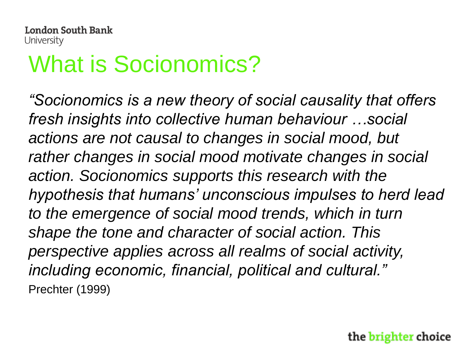# What is Socionomics?

*"Socionomics is a new theory of social causality that offers fresh insights into collective human behaviour …social actions are not causal to changes in social mood, but rather changes in social mood motivate changes in social action. Socionomics supports this research with the hypothesis that humans' unconscious impulses to herd lead to the emergence of social mood trends, which in turn shape the tone and character of social action. This perspective applies across all realms of social activity, including economic, financial, political and cultural."* Prechter (1999)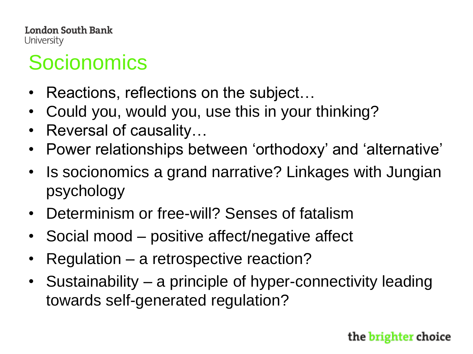# **Socionomics**

- Reactions, reflections on the subject...
- Could you, would you, use this in your thinking?
- Reversal of causality…
- Power relationships between 'orthodoxy' and 'alternative'
- Is socionomics a grand narrative? Linkages with Jungian psychology
- Determinism or free-will? Senses of fatalism
- Social mood positive affect/negative affect
- Regulation a retrospective reaction?
- Sustainability a principle of hyper-connectivity leading towards self-generated regulation?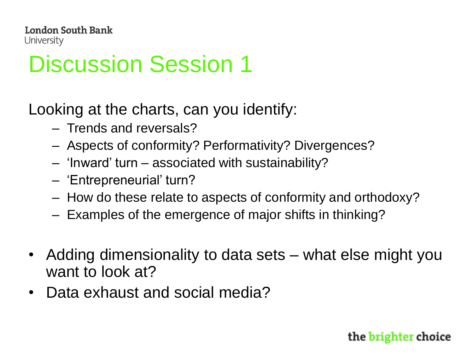# Discussion Session 1

Looking at the charts, can you identify:

- Trends and reversals?
- Aspects of conformity? Performativity? Divergences?
- 'Inward' turn associated with sustainability?
- 'Entrepreneurial' turn?
- How do these relate to aspects of conformity and orthodoxy?
- Examples of the emergence of major shifts in thinking?
- Adding dimensionality to data sets what else might you want to look at?
- Data exhaust and social media?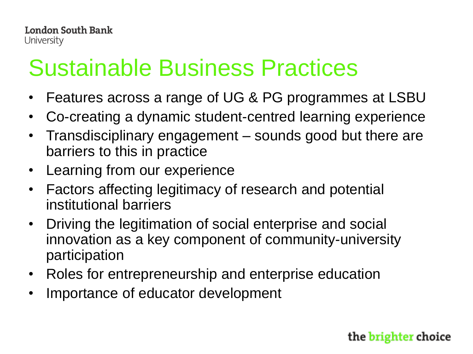# Sustainable Business Practices

- Features across a range of UG & PG programmes at LSBU
- Co-creating a dynamic student-centred learning experience
- Transdisciplinary engagement sounds good but there are barriers to this in practice
- Learning from our experience
- Factors affecting legitimacy of research and potential institutional barriers
- Driving the legitimation of social enterprise and social innovation as a key component of community-university participation
- Roles for entrepreneurship and enterprise education
- Importance of educator development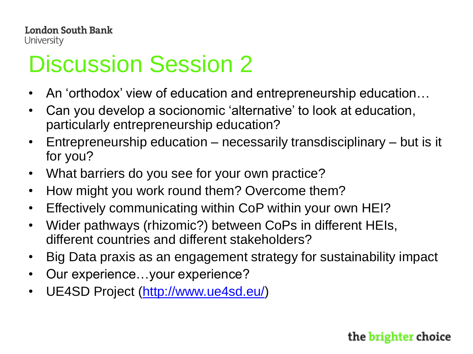# Discussion Session 2

- An 'orthodox' view of education and entrepreneurship education…
- Can you develop a socionomic 'alternative' to look at education, particularly entrepreneurship education?
- Entrepreneurship education necessarily transdisciplinary but is it for you?
- What barriers do you see for your own practice?
- How might you work round them? Overcome them?
- Effectively communicating within CoP within your own HEI?
- Wider pathways (rhizomic?) between CoPs in different HEIs, different countries and different stakeholders?
- Big Data praxis as an engagement strategy for sustainability impact
- Our experience...your experience?
- UE4SD Project [\(http://www.ue4sd.eu/\)](http://www.ue4sd.eu/)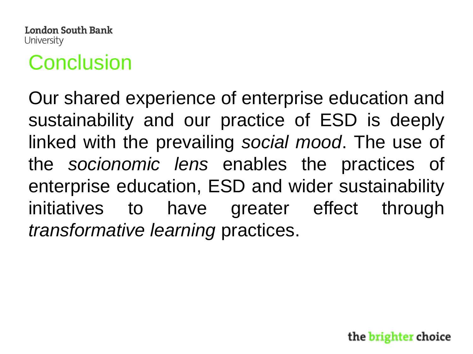

## **Conclusion**

Our shared experience of enterprise education and sustainability and our practice of ESD is deeply linked with the prevailing *social mood*. The use of the *socionomic lens* enables the practices of enterprise education, ESD and wider sustainability initiatives to have greater effect through *transformative learning* practices.